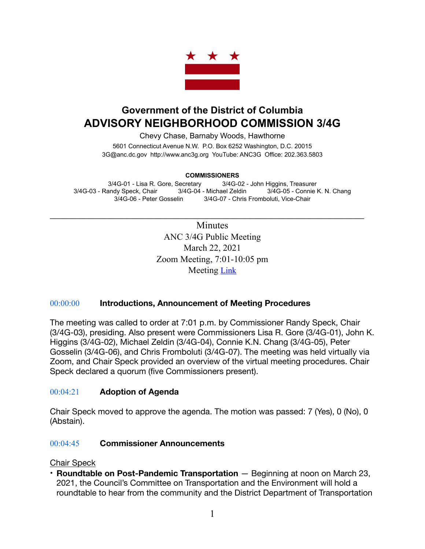

# **Government of the District of Columbia ADVISORY NEIGHBORHOOD COMMISSION 3/4G**

Chevy Chase, Barnaby Woods, Hawthorne

5601 Connecticut Avenue N.W. P.O. Box 6252 Washington, D.C. 20015 3G@anc.dc.gov <http://www.anc3g.org>YouTube: ANC3G Office: 202.363.5803

#### **COMMISSIONERS**

3/4G-01 - Lisa R. Gore, Secretary 3/4G-02 - John Higgins, Treasurer 3/4G-03 - Randy Speck, Chair 3/4G-04 - Michael Zeldin 3/4G-05 - Connie K. N. Chang 3/4G-06 - Peter Gosselin 3/4G-07 - Chris Fromboluti, Vice-Chair

\_\_\_\_\_\_\_\_\_\_\_\_\_\_\_\_\_\_\_\_\_\_\_\_\_\_\_\_\_\_\_\_\_\_\_\_\_\_\_\_\_\_\_\_\_\_\_\_\_\_\_\_\_\_\_\_\_\_\_\_\_\_\_\_\_\_\_\_\_\_\_\_\_\_

Minutes ANC 3/4G Public Meeting March 22, 2021 Zoom Meeting, 7:01-10:05 pm Meeting **[Link](https://www.youtube.com/watch?v=XVB1xQsbMl0)** 

### [00:00:00](https://www.youtube.com/watch?v=XVB1xQsbMl0&t=0s) **Introductions, Announcement of Meeting Procedures**

The meeting was called to order at 7:01 p.m. by Commissioner Randy Speck, Chair (3/4G-03), presiding. Also present were Commissioners Lisa R. Gore (3/4G-01), John K. Higgins (3/4G-02), Michael Zeldin (3/4G-04), Connie K.N. Chang (3/4G-05), Peter Gosselin (3/4G-06), and Chris Fromboluti (3/4G-07). The meeting was held virtually via Zoom, and Chair Speck provided an overview of the virtual meeting procedures. Chair Speck declared a quorum (five Commissioners present).

### [00:04:21](https://www.youtube.com/watch?v=XVB1xQsbMl0&t=261s) **Adoption of Agenda**

Chair Speck moved to approve the agenda. The motion was passed: 7 (Yes), 0 (No), 0 (Abstain).

### [00:04:45](https://www.youtube.com/watch?v=XVB1xQsbMl0&t=285s) **Commissioner Announcements**

### Chair Speck

• **Roundtable on Post-Pandemic Transportation** — Beginning at noon on March 23, 2021, the Council's Committee on Transportation and the Environment will hold a roundtable to hear from the community and the District Department of Transportation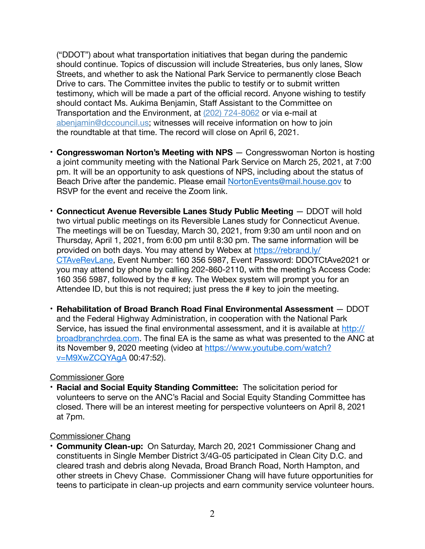("DDOT") about what transportation initiatives that began during the pandemic should continue. Topics of discussion will include Streateries, bus only lanes, Slow Streets, and whether to ask the National Park Service to permanently close Beach Drive to cars. The Committee invites the public to testify or to submit written testimony, which will be made a part of the official record. Anyone wishing to testify should contact Ms. Aukima Benjamin, Staff Assistant to the Committee on Transportation and the Environment, at (202) 724-8062 or via e-mail at [abenjamin@dccouncil.us](mailto:abenjamin@dccouncil.us); witnesses will receive information on how to join the roundtable at that time. The record will close on April 6, 2021.

- **Congresswoman Norton's Meeting with NPS** Congresswoman Norton is hosting a joint community meeting with the National Park Service on March 25, 2021, at 7:00 pm. It will be an opportunity to ask questions of NPS, including about the status of Beach Drive after the pandemic. Please email [NortonEvents@mail.house.gov](mailto:NortonEvents@mail.house.gov) to RSVP for the event and receive the Zoom link.
- **Connecticut Avenue Reversible Lanes Study Public Meeting** DDOT will hold two virtual public meetings on its Reversible Lanes study for Connecticut Avenue. The meetings will be on Tuesday, March 30, 2021, from 9:30 am until noon and on Thursday, April 1, 2021, from 6:00 pm until 8:30 pm. The same information will be provided on both days. You may attend by Webex at [https://rebrand.ly/](https://rebrand.ly/CTAveRevLane) [CTAveRevLane,](https://rebrand.ly/CTAveRevLane) Event Number: 160 356 5987, Event Password: DDOTCtAve2021 or you may attend by phone by calling 202-860-2110, with the meeting's Access Code: 160 356 5987, followed by the # key. The Webex system will prompt you for an Attendee ID, but this is not required; just press the # key to join the meeting.
- **Rehabilitation of Broad Branch Road Final Environmental Assessment**  DDOT and the Federal Highway Administration, in cooperation with the National Park Service, has issued the final environmental assessment, and it is available at [http://](http://broadbranchrdea.com/) [broadbranchrdea.com.](http://broadbranchrdea.com/) The final EA is the same as what was presented to the ANC at its November 9, 2020 meeting (video at [https://www.youtube.com/watch?](https://www.youtube.com/watch?v=M9XwZCQYAgA) [v=M9XwZCQYAgA](https://www.youtube.com/watch?v=M9XwZCQYAgA) 00:47:52).

### Commissioner Gore

• **Racial and Social Equity Standing Committee:** The solicitation period for volunteers to serve on the ANC's Racial and Social Equity Standing Committee has closed. There will be an interest meeting for perspective volunteers on April 8, 2021 at 7pm.

### Commissioner Chang

• **Community Clean-up:** On Saturday, March 20, 2021 Commissioner Chang and constituents in Single Member District 3/4G-05 participated in Clean City D.C. and cleared trash and debris along Nevada, Broad Branch Road, North Hampton, and other streets in Chevy Chase. Commissioner Chang will have future opportunities for teens to participate in clean-up projects and earn community service volunteer hours.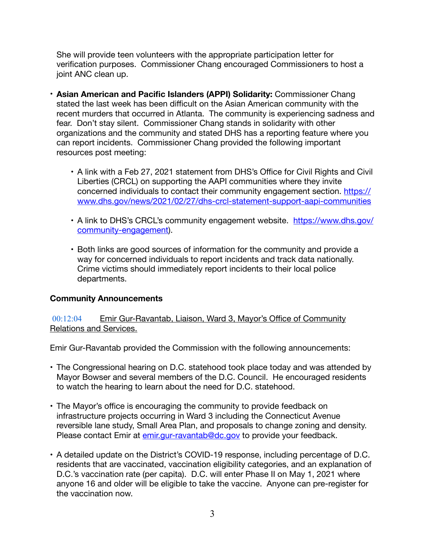She will provide teen volunteers with the appropriate participation letter for verification purposes. Commissioner Chang encouraged Commissioners to host a joint ANC clean up.

- **Asian American and Pacific Islanders (APPI) Solidarity:** Commissioner Chang stated the last week has been difficult on the Asian American community with the recent murders that occurred in Atlanta. The community is experiencing sadness and fear. Don't stay silent. Commissioner Chang stands in solidarity with other organizations and the community and stated DHS has a reporting feature where you can report incidents. Commissioner Chang provided the following important resources post meeting:
	- A link with a Feb 27, 2021 statement from DHS's Office for Civil Rights and Civil Liberties (CRCL) on supporting the AAPI communities where they invite concerned individuals to contact their community engagement section. [https://](https://www.dhs.gov/news/2021/02/27/dhs-crcl-statement-support-aapi-communities) [www.dhs.gov/news/2021/02/27/dhs-crcl-statement-support-aapi-communities](https://www.dhs.gov/news/2021/02/27/dhs-crcl-statement-support-aapi-communities)
	- A link to DHS's CRCL's community engagement website. [https://www.dhs.gov/](https://www.dhs.gov/community-engagement) [community-engagement\)](https://www.dhs.gov/community-engagement).
	- Both links are good sources of information for the community and provide a way for concerned individuals to report incidents and track data nationally. Crime victims should immediately report incidents to their local police departments.

### **Community Announcements**

[00:12:04](https://www.youtube.com/watch?v=XVB1xQsbMl0&t=724s) Emir Gur-Ravantab, Liaison, Ward 3, Mayor's Office of Community Relations and Services.

Emir Gur-Ravantab provided the Commission with the following announcements:

- The Congressional hearing on D.C. statehood took place today and was attended by Mayor Bowser and several members of the D.C. Council. He encouraged residents to watch the hearing to learn about the need for D.C. statehood.
- The Mayor's office is encouraging the community to provide feedback on infrastructure projects occurring in Ward 3 including the Connecticut Avenue reversible lane study, Small Area Plan, and proposals to change zoning and density. Please contact Emir at [emir.gur-ravantab@dc.gov](mailto:emir.gur-ravantab@dc.gov) to provide your feedback.
- A detailed update on the District's COVID-19 response, including percentage of D.C. residents that are vaccinated, vaccination eligibility categories, and an explanation of D.C.'s vaccination rate (per capita). D.C. will enter Phase II on May 1, 2021 where anyone 16 and older will be eligible to take the vaccine. Anyone can pre-register for the vaccination now.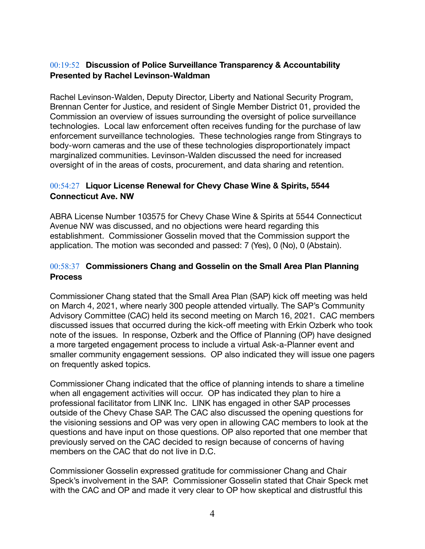### [00:19:52](https://www.youtube.com/watch?v=XVB1xQsbMl0&t=1192s) **Discussion of Police Surveillance Transparency & Accountability Presented by Rachel Levinson-Waldman**

Rachel Levinson-Walden, Deputy Director, Liberty and National Security Program, Brennan Center for Justice, and resident of Single Member District 01, provided the Commission an overview of issues surrounding the oversight of police surveillance technologies. Local law enforcement often receives funding for the purchase of law enforcement surveillance technologies. These technologies range from Stingrays to body-worn cameras and the use of these technologies disproportionately impact marginalized communities. Levinson-Walden discussed the need for increased oversight of in the areas of costs, procurement, and data sharing and retention.

### [00:54:27](https://www.youtube.com/watch?v=XVB1xQsbMl0&t=3267s) **Liquor License Renewal for Chevy Chase Wine & Spirits, 5544 Connecticut Ave. NW**

ABRA License Number 103575 for Chevy Chase Wine & Spirits at 5544 Connecticut Avenue NW was discussed, and no objections were heard regarding this establishment. Commissioner Gosselin moved that the Commission support the application. The motion was seconded and passed: 7 (Yes), 0 (No), 0 (Abstain).

### [00:58:37](https://www.youtube.com/watch?v=XVB1xQsbMl0&t=3517s) **Commissioners Chang and Gosselin on the Small Area Plan Planning Process**

Commissioner Chang stated that the Small Area Plan (SAP) kick off meeting was held on March 4, 2021, where nearly 300 people attended virtually. The SAP's Community Advisory Committee (CAC) held its second meeting on March 16, 2021. CAC members discussed issues that occurred during the kick-off meeting with Erkin Ozberk who took note of the issues. In response, Ozberk and the Office of Planning (OP) have designed a more targeted engagement process to include a virtual Ask-a-Planner event and smaller community engagement sessions. OP also indicated they will issue one pagers on frequently asked topics.

Commissioner Chang indicated that the office of planning intends to share a timeline when all engagement activities will occur. OP has indicated they plan to hire a professional facilitator from LINK Inc. LINK has engaged in other SAP processes outside of the Chevy Chase SAP. The CAC also discussed the opening questions for the visioning sessions and OP was very open in allowing CAC members to look at the questions and have input on those questions. OP also reported that one member that previously served on the CAC decided to resign because of concerns of having members on the CAC that do not live in D.C.

Commissioner Gosselin expressed gratitude for commissioner Chang and Chair Speck's involvement in the SAP. Commissioner Gosselin stated that Chair Speck met with the CAC and OP and made it very clear to OP how skeptical and distrustful this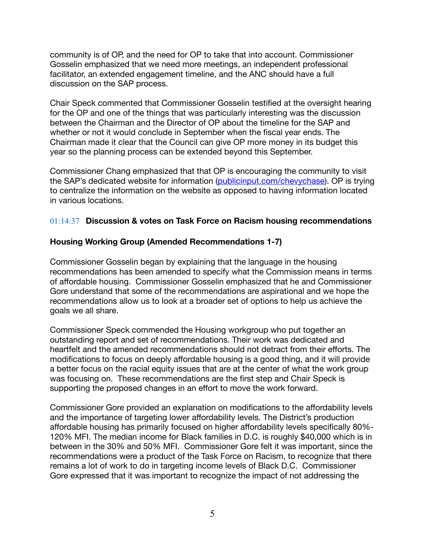community is of OP, and the need for OP to take that into account. Commissioner Gosselin emphasized that we need more meetings, an independent professional facilitator, an extended engagement timeline, and the ANC should have a full discussion on the SAP process.

Chair Speck commented that Commissioner Gosselin testified at the oversight hearing for the OP and one of the things that was particularly interesting was the discussion between the Chairman and the Director of OP about the timeline for the SAP and whether or not it would conclude in September when the fiscal year ends. The Chairman made it clear that the Council can give OP more money in its budget this year so the planning process can be extended beyond this September.

Commissioner Chang emphasized that that OP is encouraging the community to visit the SAP's dedicated website for information ([publicinput.com/chevychase\)](http://publicinput.com/chevychase). OP is trying to centralize the information on the website as opposed to having information located in various locations.

### [01:14:37](https://www.youtube.com/watch?v=XVB1xQsbMl0&t=4477s) **Discussion & votes on Task Force on Racism housing recommendations**

### **Housing Working Group (Amended Recommendations 1-7)**

Commissioner Gosselin began by explaining that the language in the housing recommendations has been amended to specify what the Commission means in terms of affordable housing. Commissioner Gosselin emphasized that he and Commissioner Gore understand that some of the recommendations are aspirational and we hope the recommendations allow us to look at a broader set of options to help us achieve the goals we all share.

Commissioner Speck commended the Housing workgroup who put together an outstanding report and set of recommendations. Their work was dedicated and heartfelt and the amended recommendations should not detract from their efforts. The modifications to focus on deeply affordable housing is a good thing, and it will provide a better focus on the racial equity issues that are at the center of what the work group was focusing on. These recommendations are the first step and Chair Speck is supporting the proposed changes in an effort to move the work forward.

Commissioner Gore provided an explanation on modifications to the affordability levels and the importance of targeting lower affordability levels. The District's production affordable housing has primarily focused on higher affordability levels specifically 80%- 120% MFI. The median income for Black families in D.C. is roughly \$40,000 which is in between in the 30% and 50% MFI. Commissioner Gore felt it was important, since the recommendations were a product of the Task Force on Racism, to recognize that there remains a lot of work to do in targeting income levels of Black D.C. Commissioner Gore expressed that it was important to recognize the impact of not addressing the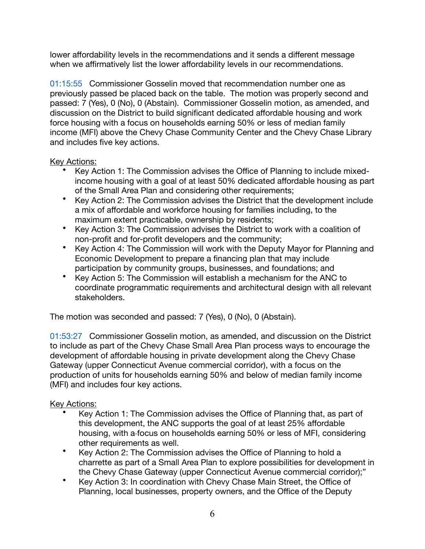lower affordability levels in the recommendations and it sends a different message when we affirmatively list the lower affordability levels in our recommendations.

[01:15:55](https://www.youtube.com/watch?v=XVB1xQsbMl0&t=4555s) Commissioner Gosselin moved that recommendation number one as previously passed be placed back on the table. The motion was properly second and passed: 7 (Yes), 0 (No), 0 (Abstain). Commissioner Gosselin motion, as amended, and discussion on the District to build significant dedicated affordable housing and work force housing with a focus on households earning 50% or less of median family income (MFI) above the Chevy Chase Community Center and the Chevy Chase Library and includes five key actions.

## Key Actions:

- Key Action 1: The Commission advises the Office of Planning to include mixedincome housing with a goal of at least 50% dedicated affordable housing as part of the Small Area Plan and considering other requirements;
- Key Action 2: The Commission advises the District that the development include a mix of affordable and workforce housing for families including, to the maximum extent practicable, ownership by residents;
- Key Action 3: The Commission advises the District to work with a coalition of non-profit and for-profit developers and the community;
- Key Action 4: The Commission will work with the Deputy Mayor for Planning and Economic Development to prepare a financing plan that may include participation by community groups, businesses, and foundations; and
- Key Action 5: The Commission will establish a mechanism for the ANC to coordinate programmatic requirements and architectural design with all relevant stakeholders.

The motion was seconded and passed: 7 (Yes), 0 (No), 0 (Abstain).

[01:53:27](https://www.youtube.com/watch?v=XVB1xQsbMl0&t=6807s) Commissioner Gosselin motion, as amended, and discussion on the District to include as part of the Chevy Chase Small Area Plan process ways to encourage the development of affordable housing in private development along the Chevy Chase Gateway (upper Connecticut Avenue commercial corridor), with a focus on the production of units for households earning 50% and below of median family income (MFI) and includes four key actions.

## Key Actions:

- Key Action 1: The Commission advises the Office of Planning that, as part of this development, the ANC supports the goal of at least 25% affordable housing, with a focus on households earning 50% or less of MFI, considering other requirements as well.
- Key Action 2: The Commission advises the Office of Planning to hold a charrette as part of a Small Area Plan to explore possibilities for development in the Chevy Chase Gateway (upper Connecticut Avenue commercial corridor);"
- Key Action 3: In coordination with Chevy Chase Main Street, the Office of Planning, local businesses, property owners, and the Office of the Deputy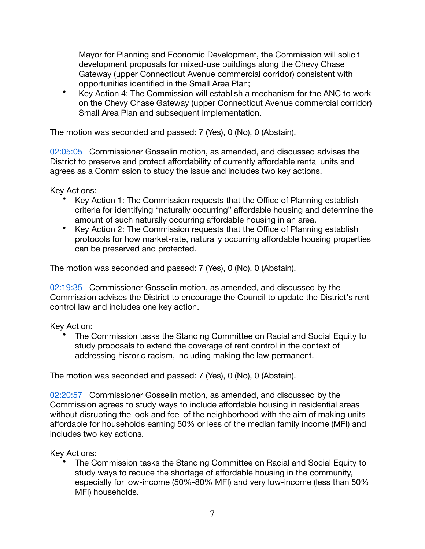Mayor for Planning and Economic Development, the Commission will solicit development proposals for mixed-use buildings along the Chevy Chase Gateway (upper Connecticut Avenue commercial corridor) consistent with opportunities identified in the Small Area Plan;

• Key Action 4: The Commission will establish a mechanism for the ANC to work on the Chevy Chase Gateway (upper Connecticut Avenue commercial corridor) Small Area Plan and subsequent implementation.

The motion was seconded and passed: 7 (Yes), 0 (No), 0 (Abstain).

[02:05:05](https://www.youtube.com/watch?v=XVB1xQsbMl0&t=7505s) Commissioner Gosselin motion, as amended, and discussed advises the District to preserve and protect affordability of currently affordable rental units and agrees as a Commission to study the issue and includes two key actions.

**Key Actions:** 

- Key Action 1: The Commission requests that the Office of Planning establish criteria for identifying "naturally occurring" affordable housing and determine the amount of such naturally occurring affordable housing in an area.
- Key Action 2: The Commission requests that the Office of Planning establish protocols for how market-rate, naturally occurring affordable housing properties can be preserved and protected.

The motion was seconded and passed: 7 (Yes), 0 (No), 0 (Abstain).

[02:19:35](https://www.youtube.com/watch?v=XVB1xQsbMl0&t=8375s) Commissioner Gosselin motion, as amended, and discussed by the Commission advises the District to encourage the Council to update the District's rent control law and includes one key action.

### Key Action:

• The Commission tasks the Standing Committee on Racial and Social Equity to study proposals to extend the coverage of rent control in the context of addressing historic racism, including making the law permanent.

The motion was seconded and passed: 7 (Yes), 0 (No), 0 (Abstain).

[02:20:57](https://www.youtube.com/watch?v=XVB1xQsbMl0&t=8457s) Commissioner Gosselin motion, as amended, and discussed by the Commission agrees to study ways to include affordable housing in residential areas without disrupting the look and feel of the neighborhood with the aim of making units affordable for households earning 50% or less of the median family income (MFI) and includes two key actions.

Key Actions:

• The Commission tasks the Standing Committee on Racial and Social Equity to study ways to reduce the shortage of affordable housing in the community, especially for low-income (50%-80% MFI) and very low-income (less than 50% MFI) households.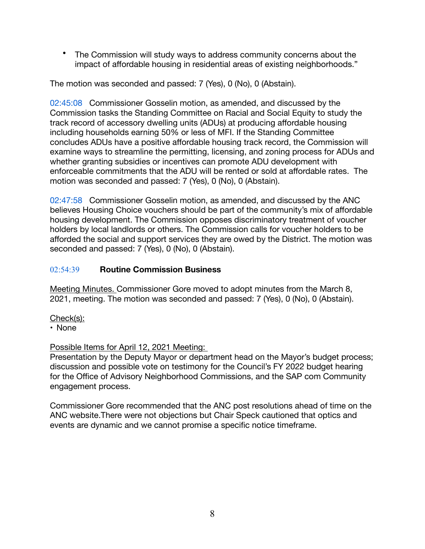• The Commission will study ways to address community concerns about the impact of affordable housing in residential areas of existing neighborhoods."

The motion was seconded and passed: 7 (Yes), 0 (No), 0 (Abstain).

[02:45:08](https://www.youtube.com/watch?v=XVB1xQsbMl0&t=9908s) Commissioner Gosselin motion, as amended, and discussed by the Commission tasks the Standing Committee on Racial and Social Equity to study the track record of accessory dwelling units (ADUs) at producing affordable housing including households earning 50% or less of MFI. If the Standing Committee concludes ADUs have a positive affordable housing track record, the Commission will examine ways to streamline the permitting, licensing, and zoning process for ADUs and whether granting subsidies or incentives can promote ADU development with enforceable commitments that the ADU will be rented or sold at affordable rates. The motion was seconded and passed: 7 (Yes), 0 (No), 0 (Abstain).

[02:47:58](https://www.youtube.com/watch?v=XVB1xQsbMl0&t=10078s) Commissioner Gosselin motion, as amended, and discussed by the ANC believes Housing Choice vouchers should be part of the community's mix of affordable housing development. The Commission opposes discriminatory treatment of voucher holders by local landlords or others. The Commission calls for voucher holders to be afforded the social and support services they are owed by the District. The motion was seconded and passed: 7 (Yes), 0 (No), 0 (Abstain).

## [02:54:39](https://www.youtube.com/watch?v=XVB1xQsbMl0&t=10479s) **Routine Commission Business**

Meeting Minutes. Commissioner Gore moved to adopt minutes from the March 8, 2021, meeting. The motion was seconded and passed: 7 (Yes), 0 (No), 0 (Abstain).

- Check(s):
- None

## Possible Items for April 12, 2021 Meeting:

Presentation by the Deputy Mayor or department head on the Mayor's budget process; discussion and possible vote on testimony for the Council's FY 2022 budget hearing for the Office of Advisory Neighborhood Commissions, and the SAP com Community engagement process.

Commissioner Gore recommended that the ANC post resolutions ahead of time on the ANC website.There were not objections but Chair Speck cautioned that optics and events are dynamic and we cannot promise a specific notice timeframe.